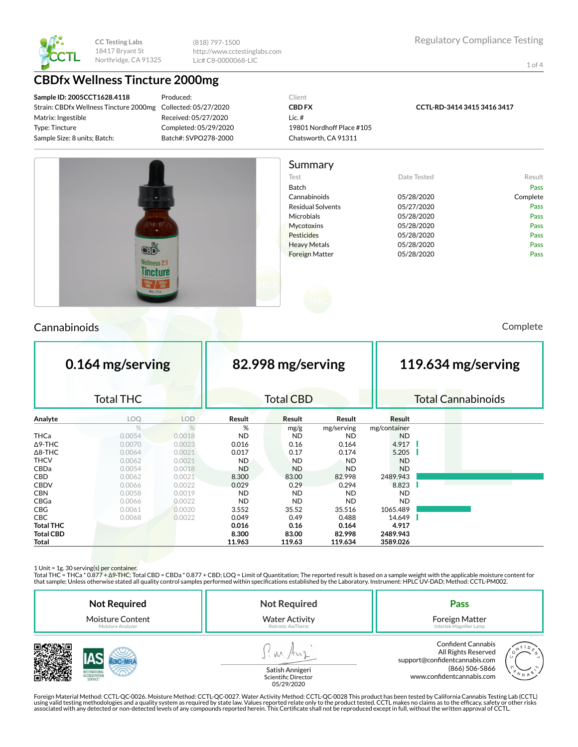

(818) 797-1500 http://www.cctestinglabs.com Lic# C8-0000068-LIC

1 of 4

## **CBDfx Wellness Tincture 2000mg**

**Sample ID: 2005CCT1628.4118** Strain: CBDfx Wellness Tincture 2000mg Matrix: Ingestible Type: Tincture Sample Size: 8 units; Batch:

Produced: Collected: 05/27/2020 Received: 05/27/2020 Completed: 05/29/2020 Batch#: SVPO278-2000

#### Client **CBD FX** Lic. # 19801 Nordhoff Place #105 Chatsworth, CA 91311

**CCTL-RD-3414 3415 3416 3417**



## Cannabinoids Complete

| 0.164 mg/serving |                  |            | 82.998 mg/serving |                  |            |              | 119.634 mg/serving |  |                           |  |
|------------------|------------------|------------|-------------------|------------------|------------|--------------|--------------------|--|---------------------------|--|
|                  | <b>Total THC</b> |            |                   | <b>Total CBD</b> |            |              |                    |  | <b>Total Cannabinoids</b> |  |
| Analyte          | LOQ              | <b>LOD</b> | Result            | Result           | Result     | Result       |                    |  |                           |  |
|                  | $\frac{9}{6}$    | %          | %                 | mg/g             | mg/serving | mg/container |                    |  |                           |  |
| THCa             | 0.0054           | 0.0018     | <b>ND</b>         | <b>ND</b>        | <b>ND</b>  | <b>ND</b>    |                    |  |                           |  |
| ∆9-THC           | 0.0070           | 0.0023     | 0.016             | 0.16             | 0.164      | 4.917        |                    |  |                           |  |
| $\Delta$ 8-THC   | 0.0064           | 0.0021     | 0.017             | 0.17             | 0.174      | 5.205        |                    |  |                           |  |
| <b>THCV</b>      | 0.0062           | 0.0021     | <b>ND</b>         | <b>ND</b>        | <b>ND</b>  | <b>ND</b>    |                    |  |                           |  |
| CBDa             | 0.0054           | 0.0018     | <b>ND</b>         | <b>ND</b>        | <b>ND</b>  | <b>ND</b>    |                    |  |                           |  |
| CBD              | 0.0062           | 0.0021     | 8.300             | 83.00            | 82.998     | 2489.943     |                    |  |                           |  |
| <b>CBDV</b>      | 0.0066           | 0.0022     | 0.029             | 0.29             | 0.294      | 8.823        |                    |  |                           |  |
| <b>CBN</b>       | 0.0058           | 0.0019     | <b>ND</b>         | <b>ND</b>        | ND.        | <b>ND</b>    |                    |  |                           |  |
| CBGa             | 0.0066           | 0.0022     | <b>ND</b>         | <b>ND</b>        | <b>ND</b>  | <b>ND</b>    |                    |  |                           |  |
| <b>CBG</b>       | 0.0061           | 0.0020     | 3.552             | 35.52            | 35.516     | 1065.489     |                    |  |                           |  |
| <b>CBC</b>       | 0.0068           | 0.0022     | 0.049             | 0.49             | 0.488      | 14.649       |                    |  |                           |  |
| <b>Total THC</b> |                  |            | 0.016             | 0.16             | 0.164      | 4.917        |                    |  |                           |  |
| Total CBD        |                  |            | 8.300             | 83.00            | 82.998     | 2489.943     |                    |  |                           |  |
| Total            |                  |            | 11.963            | 119.63           | 119.634    | 3589.026     |                    |  |                           |  |

1 Unit = 1g. 30 serving(s) per container.

Total THC = THCa \* 0.877 + ∆9-THC; Total CBD = CBDa \* 0.877 + CBD; LOQ = Limit of Quantitation; The reported result is based on a sample weight with the applicable moisture content for that sample; Unless otherwise stated all quality control samples performed within specications established by the Laboratory. Instrument: HPLC UV-DAD; Method: CCTL-PM002.

| <b>Not Required</b>     | <b>Not Required</b>                    | Pass                                                                                                                                      |
|-------------------------|----------------------------------------|-------------------------------------------------------------------------------------------------------------------------------------------|
| <b>Moisture Content</b> | <b>Water Activity</b>                  | Foreign Matter                                                                                                                            |
| Moisture Analyzer       | Rotronic AwTherm                       | Intertek Magnifier Lamp                                                                                                                   |
| SERVICE                 | Satish Annigeri<br>Scientific Director | <b>Confident Cannabis</b><br>All Rights Reserved<br>support@confidentcannabis.com<br>(866) 506-5866<br>N N A<br>www.confidentcannabis.com |



Scientific Director 05/29/2020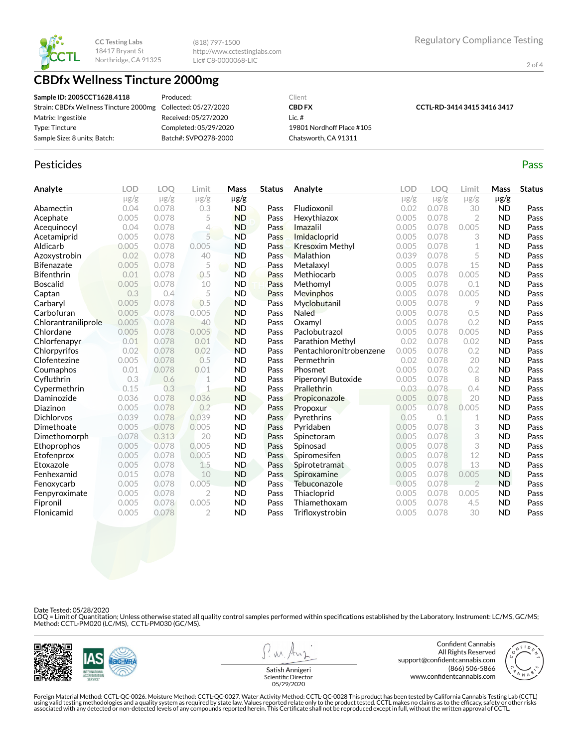

(818) 797-1500 http://www.cctestinglabs.com Lic# C8-0000068-LIC

2 of 4

## **CBDfx Wellness Tincture 2000mg**

| Sample ID: 2005CCT1628.4118                                  | Produced:             | Client                    |                             |
|--------------------------------------------------------------|-----------------------|---------------------------|-----------------------------|
| Strain: CBDfx Wellness Tincture 2000mg Collected: 05/27/2020 |                       | <b>CBD FX</b>             | CCTL-RD-3414 3415 3416 3417 |
| Matrix: Ingestible                                           | Received: 05/27/2020  | Lic. $#$                  |                             |
| Type: Tincture                                               | Completed: 05/29/2020 | 19801 Nordhoff Place #105 |                             |
| Sample Size: 8 units; Batch:                                 | Batch#: SVPO278-2000  | Chatsworth, CA 91311      |                             |

#### Pesticides **Passage Contract Contract Contract Contract Contract Contract Contract Contract Contract Contract Contract Contract Contract Contract Contract Contract Contract Contract Contract Contract Contract Contract Cont**

| Analyte             | <b>LOD</b> | LOO       | Limit          | Mass      | <b>Status</b> | Analyte                 | LOD       | LOO       | Limit          | Mass      | <b>Status</b> |
|---------------------|------------|-----------|----------------|-----------|---------------|-------------------------|-----------|-----------|----------------|-----------|---------------|
|                     | $\mu$ g/g  | $\mu$ g/g | $\mu$ g/g      | $\mu$ g/g |               |                         | $\mu$ g/g | $\mu$ g/g | $\mu$ g/g      | $\mu$ g/g |               |
| Abamectin           | 0.04       | 0.078     | 0.3            | <b>ND</b> | Pass          | Fludioxonil             | 0.02      | 0.078     | 30             | <b>ND</b> | Pass          |
| Acephate            | 0.005      | 0.078     | 5              | <b>ND</b> | Pass          | Hexythiazox             | 0.005     | 0.078     | 2              | <b>ND</b> | Pass          |
| Acequinocyl         | 0.04       | 0.078     | 4              | <b>ND</b> | Pass          | Imazalil                | 0.005     | 0.078     | 0.005          | <b>ND</b> | Pass          |
| Acetamiprid         | 0.005      | 0.078     | 5              | <b>ND</b> | Pass          | Imidacloprid            | 0.005     | 0.078     | 3              | <b>ND</b> | Pass          |
| Aldicarb            | 0.005      | 0.078     | 0.005          | <b>ND</b> | Pass          | <b>Kresoxim Methyl</b>  | 0.005     | 0.078     | 1              | <b>ND</b> | Pass          |
| Azoxystrobin        | 0.02       | 0.078     | 40             | <b>ND</b> | Pass          | Malathion               | 0.039     | 0.078     | 5              | <b>ND</b> | Pass          |
| <b>Bifenazate</b>   | 0.005      | 0.078     | 5              | <b>ND</b> | Pass          | Metalaxyl               | 0.005     | 0.078     | 15             | <b>ND</b> | Pass          |
| <b>Bifenthrin</b>   | 0.01       | 0.078     | 0.5            | <b>ND</b> | Pass          | Methiocarb              | 0.005     | 0.078     | 0.005          | <b>ND</b> | Pass          |
| <b>Boscalid</b>     | 0.005      | 0.078     | 10             | <b>ND</b> | Pass          | Methomyl                | 0.005     | 0.078     | 0.1            | <b>ND</b> | Pass          |
| Captan              | 0.3        | 0.4       | 5              | <b>ND</b> | Pass          | Mevinphos               | 0.005     | 0.078     | 0.005          | <b>ND</b> | Pass          |
| Carbaryl            | 0.005      | 0.078     | 0.5            | <b>ND</b> | Pass          | Myclobutanil            | 0.005     | 0.078     | 9              | <b>ND</b> | Pass          |
| Carbofuran          | 0.005      | 0.078     | 0.005          | <b>ND</b> | Pass          | Naled                   | 0.005     | 0.078     | 0.5            | <b>ND</b> | Pass          |
| Chlorantraniliprole | 0.005      | 0.078     | 40             | <b>ND</b> | Pass          | Oxamyl                  | 0.005     | 0.078     | 0.2            | <b>ND</b> | Pass          |
| Chlordane           | 0.005      | 0.078     | 0.005          | <b>ND</b> | Pass          | Paclobutrazol           | 0.005     | 0.078     | 0.005          | <b>ND</b> | Pass          |
| Chlorfenapyr        | 0.01       | 0.078     | 0.01           | <b>ND</b> | Pass          | Parathion Methyl        | 0.02      | 0.078     | 0.02           | <b>ND</b> | Pass          |
| Chlorpyrifos        | 0.02       | 0.078     | 0.02           | <b>ND</b> | Pass          | Pentachloronitrobenzene | 0.005     | 0.078     | 0.2            | <b>ND</b> | Pass          |
| Clofentezine        | 0.005      | 0.078     | 0.5            | <b>ND</b> | Pass          | Permethrin              | 0.02      | 0.078     | 20             | <b>ND</b> | Pass          |
| Coumaphos           | 0.01       | 0.078     | 0.01           | <b>ND</b> | Pass          | Phosmet                 | 0.005     | 0.078     | 0.2            | <b>ND</b> | Pass          |
| Cyfluthrin          | 0.3        | 0.6       | 1              | <b>ND</b> | Pass          | Piperonyl Butoxide      | 0.005     | 0.078     | 8              | <b>ND</b> | Pass          |
| Cypermethrin        | 0.15       | 0.3       | $\mathbf 1$    | <b>ND</b> | Pass          | Prallethrin             | 0.03      | 0.078     | 0.4            | <b>ND</b> | Pass          |
| Daminozide          | 0.036      | 0.078     | 0.036          | <b>ND</b> | Pass          | Propiconazole           | 0.005     | 0.078     | 20             | <b>ND</b> | Pass          |
| Diazinon            | 0.005      | 0.078     | 0.2            | <b>ND</b> | Pass          | Propoxur                | 0.005     | 0.078     | 0.005          | <b>ND</b> | Pass          |
| <b>Dichlorvos</b>   | 0.039      | 0.078     | 0.039          | <b>ND</b> | Pass          | Pyrethrins              | 0.05      | 0.1       | 1              | <b>ND</b> | Pass          |
| Dimethoate          | 0.005      | 0.078     | 0.005          | <b>ND</b> | Pass          | Pyridaben               | 0.005     | 0.078     | 3              | <b>ND</b> | Pass          |
| Dimethomorph        | 0.078      | 0.313     | 20             | <b>ND</b> | Pass          | Spinetoram              | 0.005     | 0.078     | 3              | <b>ND</b> | Pass          |
| Ethoprophos         | 0.005      | 0.078     | 0.005          | <b>ND</b> | Pass          | Spinosad                | 0.005     | 0.078     | 3              | <b>ND</b> | Pass          |
| Etofenprox          | 0.005      | 0.078     | 0.005          | <b>ND</b> | Pass          | Spiromesifen            | 0.005     | 0.078     | 12             | <b>ND</b> | Pass          |
| Etoxazole           | 0.005      | 0.078     | 1.5            | <b>ND</b> | Pass          | Spirotetramat           | 0.005     | 0.078     | 13             | <b>ND</b> | Pass          |
| Fenhexamid          | 0.015      | 0.078     | 10             | <b>ND</b> | Pass          | Spiroxamine             | 0.005     | 0.078     | 0.005          | <b>ND</b> | Pass          |
| Fenoxycarb          | 0.005      | 0.078     | 0.005          | <b>ND</b> | Pass          | Tebuconazole            | 0.005     | 0.078     | $\overline{2}$ | <b>ND</b> | Pass          |
| Fenpyroximate       | 0.005      | 0.078     | $\overline{2}$ | <b>ND</b> | Pass          | Thiacloprid             | 0.005     | 0.078     | 0.005          | <b>ND</b> | Pass          |
| Fipronil            | 0.005      | 0.078     | 0.005          | <b>ND</b> | Pass          | Thiamethoxam            | 0.005     | 0.078     | 4.5            | <b>ND</b> | Pass          |
| Flonicamid          | 0.005      | 0.078     | $\overline{2}$ | <b>ND</b> | Pass          | Trifloxystrobin         | 0.005     | 0.078     | 30             | <b>ND</b> | Pass          |

Date Tested: 05/28/2020

LOQ = Limit of Quantitation; Unless otherwise stated all quality control samples performed within specifications established by the Laboratory. Instrument: LC/MS, GC/MS;<br>Method: CCTL-PM020 (LC/MS), CCTL-PM030 (GC/MS).



**W** 

Confident Cannabis All Rights Reserved support@confidentcannabis.com (866) 506-5866 www.confidentcannabis.com



Satish Annigeri Scientific Director 05/29/2020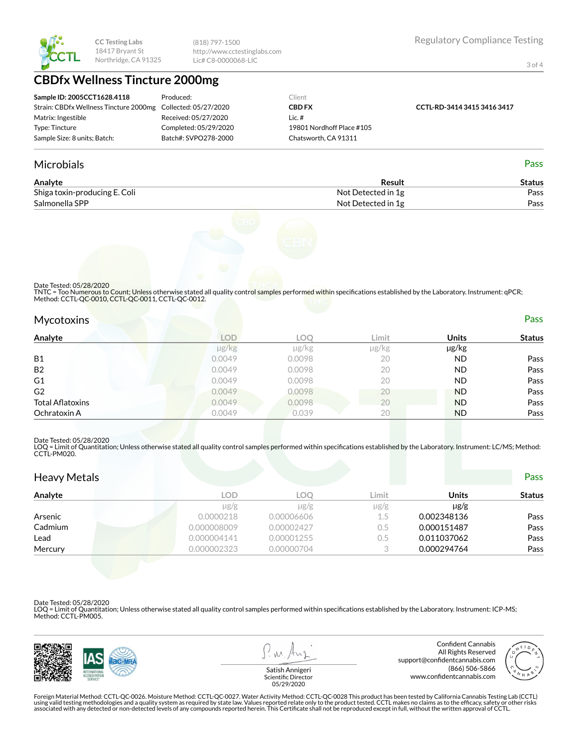

(818) 797-1500 http://www.cctestinglabs.com Lic# C8-0000068-LIC

3 of 4

# **CBDfx Wellness Tincture 2000mg**

| Sample ID: 2005CCT1628.4118                                  | Produced:             | Client                    |                             |
|--------------------------------------------------------------|-----------------------|---------------------------|-----------------------------|
| Strain: CBDfx Wellness Tincture 2000mg Collected: 05/27/2020 |                       | <b>CBD FX</b>             | CCTL-RD-3414 3415 3416 3417 |
| Matrix: Ingestible                                           | Received: 05/27/2020  | Lic.#                     |                             |
| Type: Tincture                                               | Completed: 05/29/2020 | 19801 Nordhoff Place #105 |                             |
| Sample Size: 8 units; Batch:                                 | Batch#: SVPO278-2000  | Chatsworth, CA 91311      |                             |

#### Microbials Pass

| Analyte                       | Result             | Status |
|-------------------------------|--------------------|--------|
| Shiga toxin-producing E. Coli | Not Detected in 1g | Pass   |
| Salmonella SPP                | Not Detected in 1g | Pass   |



Date Tested: 05/28/2020

TNTC = Too Numerous to Count; Unless otherwise stated all quality control samples performed within specifications established by the Laboratory. Instrument: qPCR;<br>Method: CCTL-QC-0010, CCTL-QC-0011, CCTL-QC-0012.

| <b>Mycotoxins</b> |        |        |       |              | Pass          |
|-------------------|--------|--------|-------|--------------|---------------|
| Analyte           | LOD    | LOC    | Limit | <b>Units</b> | <b>Status</b> |
|                   | µg/kg  | µg/kg  | µg/kg | µg/kg        |               |
| <b>B1</b>         | 0.0049 | 0.0098 | 20    | <b>ND</b>    | Pass          |
| B <sub>2</sub>    | 0.0049 | 0.0098 |       | ΝD           | Pass          |

|                         | µg/kg  | µg/kg  | µg/kg | µg/kg     |      |
|-------------------------|--------|--------|-------|-----------|------|
| <b>B1</b>               | 0.0049 | 0.0098 | 20    | <b>ND</b> | Pass |
| <b>B2</b>               | 0.0049 | 0.0098 | 20    | <b>ND</b> | Pass |
| G <sub>1</sub>          | 0.0049 | 0.0098 | 20    | <b>ND</b> | Pass |
| G <sub>2</sub>          | 0.0049 | 0.0098 | 20    | <b>ND</b> | Pass |
| <b>Total Aflatoxins</b> | 0.0049 | 0.0098 | 20    | <b>ND</b> | Pass |
| Ochratoxin A            | 0.0049 | 0.039  | 20    | <b>ND</b> | Pass |

#### Date Tested: 05/28/2020

LOQ = Limit of Quantitation; Unless otherwise stated all quality control samples performed within specifications established by the Laboratory. Instrument: LC/MS; Method:<br>CCTL-PM020.

| <b>Heavy Metals</b> |             |            |           |              | <b>Pass</b>   |
|---------------------|-------------|------------|-----------|--------------|---------------|
| Analyte             | <b>LOD</b>  | LOQ.       | Limit     | <b>Units</b> | <b>Status</b> |
|                     | $\mu$ g/g   | $\mu$ g/g  | $\mu$ g/g | $\mu$ g/g    |               |
| Arsenic             | 0.0000218   | 0.00006606 | 1.5       | 0.002348136  | Pass          |
| Cadmium             | 0.000008009 | 0.00002427 | 0.5       | 0.000151487  | Pass          |
| Lead                | 0.000004141 | 0.00001255 | $0.5\,$   | 0.011037062  | Pass          |
| Mercury             | 0.000002323 | 0.00000704 |           | 0.000294764  | Pass          |

Date Tested: 05/28/2020

LOQ = Limit of Quantitation; Unless otherwise stated all quality control samples performed within specifications established by the Laboratory. Instrument: ICP-MS; Method: CCTL-PM005.



 $M$ 

Confident Cannabis All Rights Reserved support@confidentcannabis.com (866) 506-5866 www.confidentcannabis.com



Satish Annigeri Scientific Director 05/29/2020